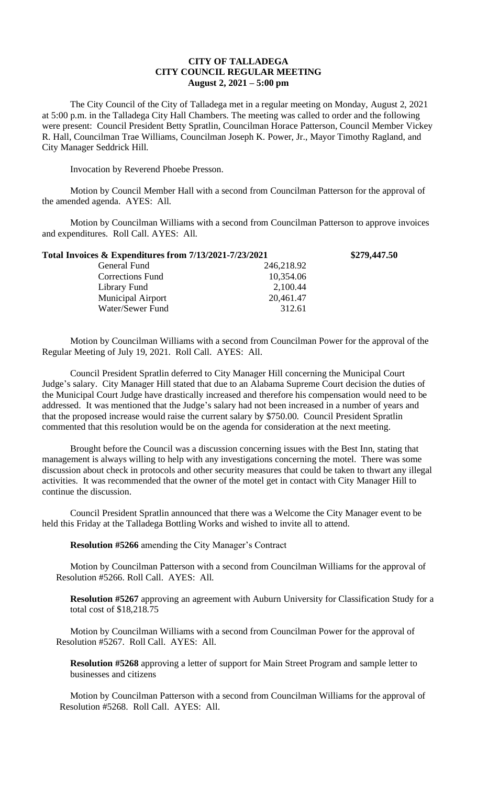## **CITY OF TALLADEGA CITY COUNCIL REGULAR MEETING August 2, 2021 – 5:00 pm**

The City Council of the City of Talladega met in a regular meeting on Monday, August 2, 2021 at 5:00 p.m. in the Talladega City Hall Chambers. The meeting was called to order and the following were present: Council President Betty Spratlin, Councilman Horace Patterson, Council Member Vickey R. Hall, Councilman Trae Williams, Councilman Joseph K. Power, Jr., Mayor Timothy Ragland, and City Manager Seddrick Hill.

Invocation by Reverend Phoebe Presson.

Motion by Council Member Hall with a second from Councilman Patterson for the approval of the amended agenda. AYES: All.

Motion by Councilman Williams with a second from Councilman Patterson to approve invoices and expenditures. Roll Call. AYES: All.

| Total Invoices & Expenditures from 7/13/2021-7/23/2021 |            | \$279,447.50 |
|--------------------------------------------------------|------------|--------------|
| General Fund                                           | 246,218.92 |              |
| <b>Corrections Fund</b>                                | 10,354.06  |              |
| Library Fund                                           | 2,100.44   |              |
| <b>Municipal Airport</b>                               | 20,461.47  |              |
| Water/Sewer Fund                                       | 312.61     |              |

Motion by Councilman Williams with a second from Councilman Power for the approval of the Regular Meeting of July 19, 2021. Roll Call. AYES: All.

Council President Spratlin deferred to City Manager Hill concerning the Municipal Court Judge's salary. City Manager Hill stated that due to an Alabama Supreme Court decision the duties of the Municipal Court Judge have drastically increased and therefore his compensation would need to be addressed. It was mentioned that the Judge's salary had not been increased in a number of years and that the proposed increase would raise the current salary by \$750.00. Council President Spratlin commented that this resolution would be on the agenda for consideration at the next meeting.

Brought before the Council was a discussion concerning issues with the Best Inn, stating that management is always willing to help with any investigations concerning the motel. There was some discussion about check in protocols and other security measures that could be taken to thwart any illegal activities. It was recommended that the owner of the motel get in contact with City Manager Hill to continue the discussion.

Council President Spratlin announced that there was a Welcome the City Manager event to be held this Friday at the Talladega Bottling Works and wished to invite all to attend.

**Resolution #5266** amending the City Manager's Contract

Motion by Councilman Patterson with a second from Councilman Williams for the approval of Resolution #5266. Roll Call. AYES: All.

**Resolution #5267** approving an agreement with Auburn University for Classification Study for a total cost of \$18,218.75

Motion by Councilman Williams with a second from Councilman Power for the approval of Resolution #5267. Roll Call. AYES: All.

**Resolution #5268** approving a letter of support for Main Street Program and sample letter to businesses and citizens

Motion by Councilman Patterson with a second from Councilman Williams for the approval of Resolution #5268. Roll Call. AYES: All.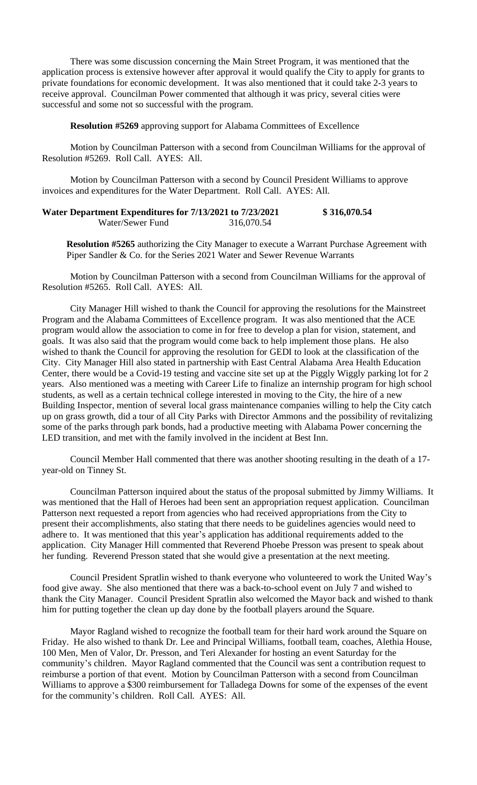There was some discussion concerning the Main Street Program, it was mentioned that the application process is extensive however after approval it would qualify the City to apply for grants to private foundations for economic development. It was also mentioned that it could take 2-3 years to receive approval. Councilman Power commented that although it was pricy, several cities were successful and some not so successful with the program.

**Resolution #5269** approving support for Alabama Committees of Excellence

Motion by Councilman Patterson with a second from Councilman Williams for the approval of Resolution #5269. Roll Call. AYES: All.

Motion by Councilman Patterson with a second by Council President Williams to approve invoices and expenditures for the Water Department. Roll Call. AYES: All.

**Water Department Expenditures for 7/13/2021 to 7/23/2021 \$ 316,070.54** Water/Sewer Fund 316,070.54

**Resolution #5265** authorizing the City Manager to execute a Warrant Purchase Agreement with Piper Sandler & Co. for the Series 2021 Water and Sewer Revenue Warrants

Motion by Councilman Patterson with a second from Councilman Williams for the approval of Resolution #5265. Roll Call. AYES: All.

City Manager Hill wished to thank the Council for approving the resolutions for the Mainstreet Program and the Alabama Committees of Excellence program. It was also mentioned that the ACE program would allow the association to come in for free to develop a plan for vision, statement, and goals. It was also said that the program would come back to help implement those plans. He also wished to thank the Council for approving the resolution for GEDI to look at the classification of the City. City Manager Hill also stated in partnership with East Central Alabama Area Health Education Center, there would be a Covid-19 testing and vaccine site set up at the Piggly Wiggly parking lot for 2 years. Also mentioned was a meeting with Career Life to finalize an internship program for high school students, as well as a certain technical college interested in moving to the City, the hire of a new Building Inspector, mention of several local grass maintenance companies willing to help the City catch up on grass growth, did a tour of all City Parks with Director Ammons and the possibility of revitalizing some of the parks through park bonds, had a productive meeting with Alabama Power concerning the LED transition, and met with the family involved in the incident at Best Inn.

Council Member Hall commented that there was another shooting resulting in the death of a 17 year-old on Tinney St.

Councilman Patterson inquired about the status of the proposal submitted by Jimmy Williams. It was mentioned that the Hall of Heroes had been sent an appropriation request application. Councilman Patterson next requested a report from agencies who had received appropriations from the City to present their accomplishments, also stating that there needs to be guidelines agencies would need to adhere to. It was mentioned that this year's application has additional requirements added to the application. City Manager Hill commented that Reverend Phoebe Presson was present to speak about her funding. Reverend Presson stated that she would give a presentation at the next meeting.

Council President Spratlin wished to thank everyone who volunteered to work the United Way's food give away. She also mentioned that there was a back-to-school event on July 7 and wished to thank the City Manager. Council President Spratlin also welcomed the Mayor back and wished to thank him for putting together the clean up day done by the football players around the Square.

Mayor Ragland wished to recognize the football team for their hard work around the Square on Friday. He also wished to thank Dr. Lee and Principal Williams, football team, coaches, Alethia House, 100 Men, Men of Valor, Dr. Presson, and Teri Alexander for hosting an event Saturday for the community's children. Mayor Ragland commented that the Council was sent a contribution request to reimburse a portion of that event. Motion by Councilman Patterson with a second from Councilman Williams to approve a \$300 reimbursement for Talladega Downs for some of the expenses of the event for the community's children. Roll Call. AYES: All.